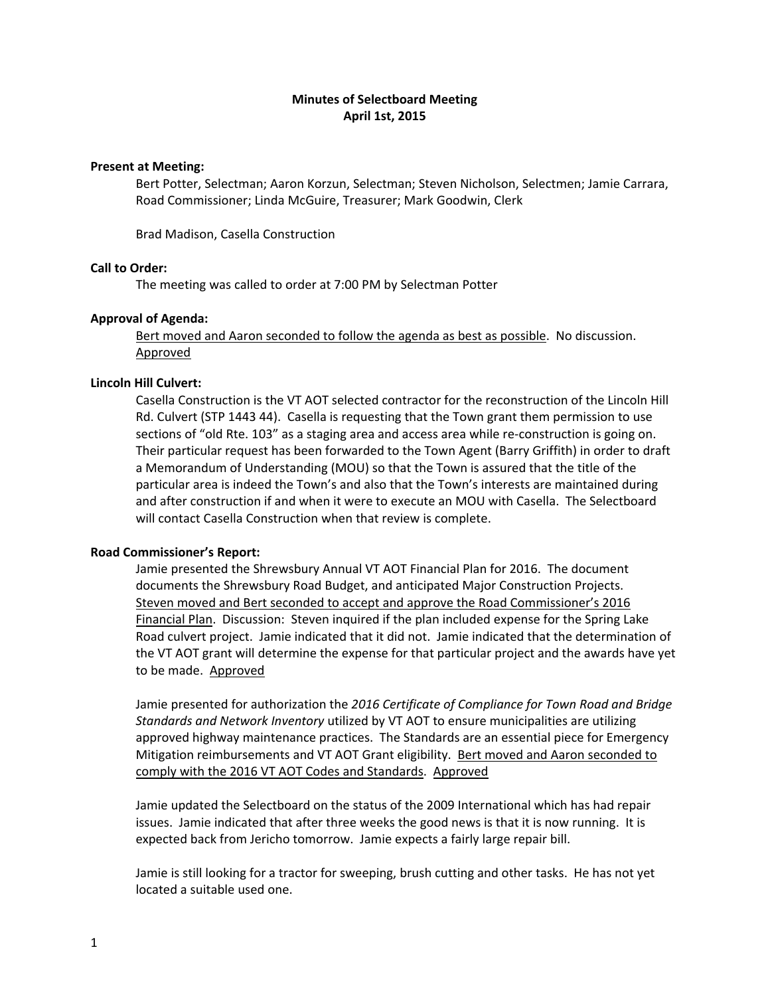# **Minutes of Selectboard Meeting April 1st, 2015**

## **Present at Meeting:**

Bert Potter, Selectman; Aaron Korzun, Selectman; Steven Nicholson, Selectmen; Jamie Carrara, Road Commissioner; Linda McGuire, Treasurer; Mark Goodwin, Clerk

Brad Madison, Casella Construction

# **Call to Order:**

The meeting was called to order at 7:00 PM by Selectman Potter

# **Approval of Agenda:**

Bert moved and Aaron seconded to follow the agenda as best as possible. No discussion. Approved

# **Lincoln Hill Culvert:**

Casella Construction is the VT AOT selected contractor for the reconstruction of the Lincoln Hill Rd. Culvert (STP 1443 44). Casella is requesting that the Town grant them permission to use sections of "old Rte. 103" as a staging area and access area while re-construction is going on. Their particular request has been forwarded to the Town Agent (Barry Griffith) in order to draft a Memorandum of Understanding (MOU) so that the Town is assured that the title of the particular area is indeed the Town's and also that the Town's interests are maintained during and after construction if and when it were to execute an MOU with Casella. The Selectboard will contact Casella Construction when that review is complete.

# **Road Commissioner's Report:**

Jamie presented the Shrewsbury Annual VT AOT Financial Plan for 2016. The document documents the Shrewsbury Road Budget, and anticipated Major Construction Projects. Steven moved and Bert seconded to accept and approve the Road Commissioner's 2016 Financial Plan. Discussion: Steven inquired if the plan included expense for the Spring Lake Road culvert project. Jamie indicated that it did not. Jamie indicated that the determination of the VT AOT grant will determine the expense for that particular project and the awards have yet to be made. Approved

Jamie presented for authorization the *2016 Certificate of Compliance for Town Road and Bridge Standards and Network Inventory* utilized by VT AOT to ensure municipalities are utilizing approved highway maintenance practices. The Standards are an essential piece for Emergency Mitigation reimbursements and VT AOT Grant eligibility. Bert moved and Aaron seconded to comply with the 2016 VT AOT Codes and Standards. Approved

Jamie updated the Selectboard on the status of the 2009 International which has had repair issues. Jamie indicated that after three weeks the good news is that it is now running. It is expected back from Jericho tomorrow. Jamie expects a fairly large repair bill.

Jamie is still looking for a tractor for sweeping, brush cutting and other tasks. He has not yet located a suitable used one.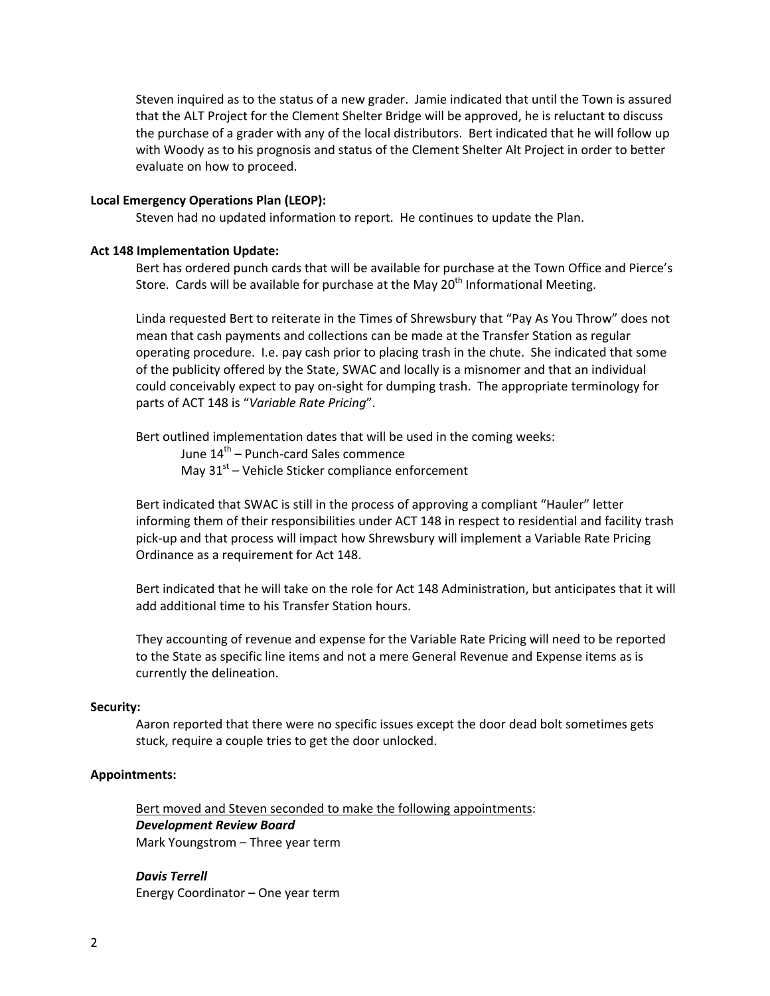Steven inquired as to the status of a new grader. Jamie indicated that until the Town is assured that the ALT Project for the Clement Shelter Bridge will be approved, he is reluctant to discuss the purchase of a grader with any of the local distributors. Bert indicated that he will follow up with Woody as to his prognosis and status of the Clement Shelter Alt Project in order to better evaluate on how to proceed.

#### **Local Emergency Operations Plan (LEOP):**

Steven had no updated information to report. He continues to update the Plan.

#### **Act 148 Implementation Update:**

Bert has ordered punch cards that will be available for purchase at the Town Office and Pierce's Store. Cards will be available for purchase at the May  $20<sup>th</sup>$  Informational Meeting.

Linda requested Bert to reiterate in the Times of Shrewsbury that "Pay As You Throw" does not mean that cash payments and collections can be made at the Transfer Station as regular operating procedure. I.e. pay cash prior to placing trash in the chute. She indicated that some of the publicity offered by the State, SWAC and locally is a misnomer and that an individual could conceivably expect to pay on‐sight for dumping trash. The appropriate terminology for parts of ACT 148 is "*Variable Rate Pricing*".

Bert outlined implementation dates that will be used in the coming weeks:

June 14<sup>th</sup> – Punch-card Sales commence May  $31<sup>st</sup>$  – Vehicle Sticker compliance enforcement

Bert indicated that SWAC is still in the process of approving a compliant "Hauler" letter informing them of their responsibilities under ACT 148 in respect to residential and facility trash pick‐up and that process will impact how Shrewsbury will implement a Variable Rate Pricing Ordinance as a requirement for Act 148.

Bert indicated that he will take on the role for Act 148 Administration, but anticipates that it will add additional time to his Transfer Station hours.

They accounting of revenue and expense for the Variable Rate Pricing will need to be reported to the State as specific line items and not a mere General Revenue and Expense items as is currently the delineation.

#### **Security:**

Aaron reported that there were no specific issues except the door dead bolt sometimes gets stuck, require a couple tries to get the door unlocked.

## **Appointments:**

Bert moved and Steven seconded to make the following appointments: *Development Review Board* Mark Youngstrom – Three year term

*Davis Terrell* Energy Coordinator – One year term